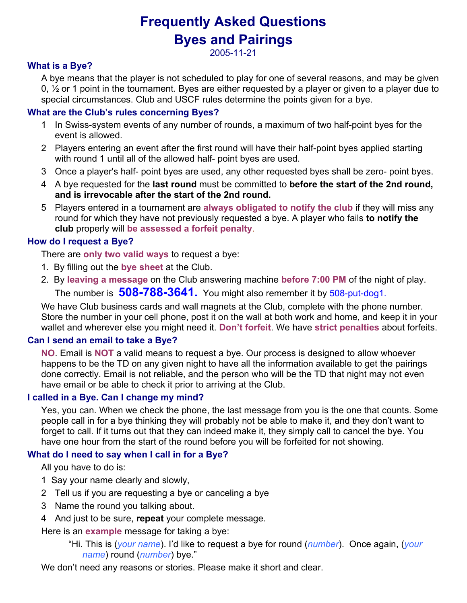# Frequently Asked Questions Byes and Pairings

2005-11-21

# What is a Bye?

A bye means that the player is not scheduled to play for one of several reasons, and may be given 0, ½ or 1 point in the tournament. Byes are either requested by a player or given to a player due to special circumstances. Club and USCF rules determine the points given for a bye.

# What are the Club's rules concerning Byes?

- 1 In Swiss-system events of any number of rounds, a maximum of two half-point byes for the event is allowed.
- 2 Players entering an event after the first round will have their half-point byes applied starting with round 1 until all of the allowed half- point byes are used.
- 3 Once a player's half- point byes are used, any other requested byes shall be zero- point byes.
- 4 A bye requested for the last round must be committed to before the start of the 2nd round, and is irrevocable after the start of the 2nd round.
- 5 Players entered in a tournament are always obligated to notify the club if they will miss any round for which they have not previously requested a bye. A player who fails to notify the club properly will be assessed a forfeit penalty.

# How do I request a Bye?

There are only two valid ways to request a bye:

- 1. By filling out the bye sheet at the Club.
- 2. By leaving a message on the Club answering machine before 7:00 PM of the night of play. The number is 508-788-3641. You might also remember it by 508-put-dog1.

We have Club business cards and wall magnets at the Club, complete with the phone number. Store the number in your cell phone, post it on the wall at both work and home, and keep it in your wallet and wherever else you might need it. Don't forfeit. We have strict penalties about forfeits.

## Can I send an email to take a Bye?

NO. Email is NOT a valid means to request a bye. Our process is designed to allow whoever happens to be the TD on any given night to have all the information available to get the pairings done correctly. Email is not reliable, and the person who will be the TD that night may not even have email or be able to check it prior to arriving at the Club.

## I called in a Bye. Can I change my mind?

Yes, you can. When we check the phone, the last message from you is the one that counts. Some people call in for a bye thinking they will probably not be able to make it, and they don't want to forget to call. If it turns out that they can indeed make it, they simply call to cancel the bye. You have one hour from the start of the round before you will be forfeited for not showing.

## What do I need to say when I call in for a Bye?

All you have to do is:

- 1 Say your name clearly and slowly,
- 2 Tell us if you are requesting a bye or canceling a bye
- 3 Name the round you talking about.
- 4 And just to be sure, repeat your complete message.

Here is an **example** message for taking a bye:

"Hi. This is (your name). I'd like to request a bye for round (number). Once again, (your name) round (number) bye."

We don't need any reasons or stories. Please make it short and clear.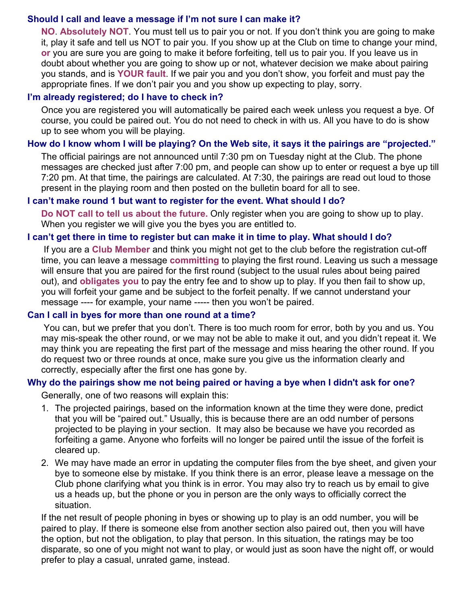# Should I call and leave a message if I'm not sure I can make it?

NO. Absolutely NOT. You must tell us to pair you or not. If you don't think you are going to make it, play it safe and tell us NOT to pair you. If you show up at the Club on time to change your mind, or you are sure you are going to make it before forfeiting, tell us to pair you. If you leave us in doubt about whether you are going to show up or not, whatever decision we make about pairing you stands, and is YOUR fault. If we pair you and you don't show, you forfeit and must pay the appropriate fines. If we don't pair you and you show up expecting to play, sorry.

## I'm already registered; do I have to check in?

Once you are registered you will automatically be paired each week unless you request a bye. Of course, you could be paired out. You do not need to check in with us. All you have to do is show up to see whom you will be playing.

# How do I know whom I will be playing? On the Web site, it says it the pairings are "projected."

The official pairings are not announced until 7:30 pm on Tuesday night at the Club. The phone messages are checked just after 7:00 pm, and people can show up to enter or request a bye up till 7:20 pm. At that time, the pairings are calculated. At 7:30, the pairings are read out loud to those present in the playing room and then posted on the bulletin board for all to see.

# I can't make round 1 but want to register for the event. What should I do?

Do NOT call to tell us about the future. Only register when you are going to show up to play. When you register we will give you the byes you are entitled to.

## I can't get there in time to register but can make it in time to play. What should I do?

If you are a Club Member and think you might not get to the club before the registration cut-off time, you can leave a message committing to playing the first round. Leaving us such a message will ensure that you are paired for the first round (subject to the usual rules about being paired out), and **obligates you** to pay the entry fee and to show up to play. If you then fail to show up, you will forfeit your game and be subject to the forfeit penalty. If we cannot understand your message ---- for example, your name ----- then you won't be paired.

## Can I call in byes for more than one round at a time?

 You can, but we prefer that you don't. There is too much room for error, both by you and us. You may mis-speak the other round, or we may not be able to make it out, and you didn't repeat it. We may think you are repeating the first part of the message and miss hearing the other round. If you do request two or three rounds at once, make sure you give us the information clearly and correctly, especially after the first one has gone by.

## Why do the pairings show me not being paired or having a bye when I didn't ask for one?

Generally, one of two reasons will explain this:

- 1. The projected pairings, based on the information known at the time they were done, predict that you will be "paired out." Usually, this is because there are an odd number of persons projected to be playing in your section. It may also be because we have you recorded as forfeiting a game. Anyone who forfeits will no longer be paired until the issue of the forfeit is cleared up.
- 2. We may have made an error in updating the computer files from the bye sheet, and given your bye to someone else by mistake. If you think there is an error, please leave a message on the Club phone clarifying what you think is in error. You may also try to reach us by email to give us a heads up, but the phone or you in person are the only ways to officially correct the situation.

If the net result of people phoning in byes or showing up to play is an odd number, you will be paired to play. If there is someone else from another section also paired out, then you will have the option, but not the obligation, to play that person. In this situation, the ratings may be too disparate, so one of you might not want to play, or would just as soon have the night off, or would prefer to play a casual, unrated game, instead.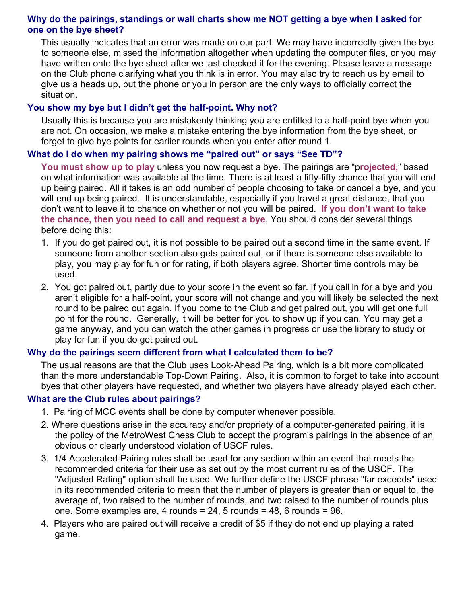# Why do the pairings, standings or wall charts show me NOT getting a bye when I asked for one on the bye sheet?

This usually indicates that an error was made on our part. We may have incorrectly given the bye to someone else, missed the information altogether when updating the computer files, or you may have written onto the bye sheet after we last checked it for the evening. Please leave a message on the Club phone clarifying what you think is in error. You may also try to reach us by email to give us a heads up, but the phone or you in person are the only ways to officially correct the situation.

## You show my bye but I didn't get the half-point. Why not?

Usually this is because you are mistakenly thinking you are entitled to a half-point bye when you are not. On occasion, we make a mistake entering the bye information from the bye sheet, or forget to give bye points for earlier rounds when you enter after round 1.

#### What do I do when my pairing shows me "paired out" or says "See TD"?

You must show up to play unless you now request a bye. The pairings are "projected," based on what information was available at the time. There is at least a fifty-fifty chance that you will end up being paired. All it takes is an odd number of people choosing to take or cancel a bye, and you will end up being paired. It is understandable, especially if you travel a great distance, that you don't want to leave it to chance on whether or not you will be paired. If you don't want to take the chance, then you need to call and request a bye. You should consider several things before doing this:

- 1. If you do get paired out, it is not possible to be paired out a second time in the same event. If someone from another section also gets paired out, or if there is someone else available to play, you may play for fun or for rating, if both players agree. Shorter time controls may be used.
- 2. You got paired out, partly due to your score in the event so far. If you call in for a bye and you aren't eligible for a half-point, your score will not change and you will likely be selected the next round to be paired out again. If you come to the Club and get paired out, you will get one full point for the round. Generally, it will be better for you to show up if you can. You may get a game anyway, and you can watch the other games in progress or use the library to study or play for fun if you do get paired out.

#### Why do the pairings seem different from what I calculated them to be?

The usual reasons are that the Club uses Look-Ahead Pairing, which is a bit more complicated than the more understandable Top-Down Pairing. Also, it is common to forget to take into account byes that other players have requested, and whether two players have already played each other.

#### What are the Club rules about pairings?

- 1. Pairing of MCC events shall be done by computer whenever possible.
- 2. Where questions arise in the accuracy and/or propriety of a computer-generated pairing, it is the policy of the MetroWest Chess Club to accept the program's pairings in the absence of an obvious or clearly understood violation of USCF rules.
- 3. 1/4 Accelerated-Pairing rules shall be used for any section within an event that meets the recommended criteria for their use as set out by the most current rules of the USCF. The "Adjusted Rating" option shall be used. We further define the USCF phrase "far exceeds" used in its recommended criteria to mean that the number of players is greater than or equal to, the average of, two raised to the number of rounds, and two raised to the number of rounds plus one. Some examples are, 4 rounds = 24, 5 rounds = 48, 6 rounds = 96.
- 4. Players who are paired out will receive a credit of \$5 if they do not end up playing a rated game.